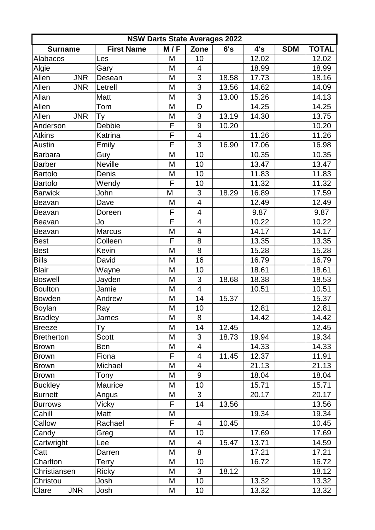| <b>NSW Darts State Averages 2022</b> |                   |                         |                         |       |       |            |              |  |
|--------------------------------------|-------------------|-------------------------|-------------------------|-------|-------|------------|--------------|--|
| <b>Surname</b>                       | <b>First Name</b> | M/F                     | Zone                    | 6's   | 4's   | <b>SDM</b> | <b>TOTAL</b> |  |
| Alabacos                             | Les               | M                       | 10                      |       | 12.02 |            | 12.02        |  |
| Algie                                | Gary              | M                       | 4                       |       | 18.99 |            | 18.99        |  |
| <b>JNR</b><br>Allen                  | Desean            | M                       | 3                       | 18.58 | 17.73 |            | 18.16        |  |
| Allen<br><b>JNR</b>                  | Letrell           | M                       | $\overline{3}$          | 13.56 | 14.62 |            | 14.09        |  |
| Allan                                | Matt              | M                       | $\overline{3}$          | 13.00 | 15.26 |            | 14.13        |  |
| Allen                                | Tom               | M                       | D                       |       | 14.25 |            | 14.25        |  |
| <b>JNR</b><br>Allen                  | Ty                | M                       | 3                       | 13.19 | 14.30 |            | 13.75        |  |
| Anderson                             | Debbie            | F                       | 9                       | 10.20 |       |            | 10.20        |  |
| <b>Atkins</b>                        | Katrina           | F                       | $\overline{\mathbf{4}}$ |       | 11.26 |            | 11.26        |  |
| Austin                               | Emily             | $\mathsf{F}$            | 3                       | 16.90 | 17.06 |            | 16.98        |  |
| <b>Barbara</b>                       | Guy               | M                       | 10                      |       | 10.35 |            | 10.35        |  |
| <b>Barber</b>                        | <b>Neville</b>    | M                       | 10                      |       | 13.47 |            | 13.47        |  |
| <b>Bartolo</b>                       | Denis             | M                       | 10                      |       | 11.83 |            | 11.83        |  |
| <b>Bartolo</b>                       | Wendy             | F                       | 10                      |       | 11.32 |            | 11.32        |  |
| <b>Barwick</b>                       | John              | M                       | 3                       | 18.29 | 16.89 |            | 17.59        |  |
| <b>Beavan</b>                        | Dave              | M                       | $\overline{4}$          |       | 12.49 |            | 12.49        |  |
| Beavan                               | Doreen            | F                       | 4                       |       | 9.87  |            | 9.87         |  |
| Beavan                               | Jo                | F                       | 4                       |       | 10.22 |            | 10.22        |  |
| Beavan                               | <b>Marcus</b>     | M                       | 4                       |       | 14.17 |            | 14.17        |  |
| <b>Best</b>                          | Colleen           | F                       | 8                       |       | 13.35 |            | 13.35        |  |
| <b>Best</b>                          | Kevin             | M                       | 8                       |       | 15.28 |            | 15.28        |  |
| <b>Bills</b>                         | David             | M                       | 16                      |       | 16.79 |            | 16.79        |  |
| <b>Blair</b>                         | Wayne             | M                       | 10                      |       | 18.61 |            | 18.61        |  |
| <b>Boswell</b>                       | Jayden            | M                       | 3                       | 18.68 | 18.38 |            | 18.53        |  |
| <b>Boulton</b>                       | Jamie             | M                       | $\overline{4}$          |       | 10.51 |            | 10.51        |  |
| <b>Bowden</b>                        | Andrew            | M                       | 14                      | 15.37 |       |            | 15.37        |  |
| <b>Boylan</b>                        | Ray               | M                       | 10                      |       | 12.81 |            | 12.81        |  |
| <b>Bradley</b>                       | James             | $\overline{\mathsf{M}}$ | $\overline{8}$          |       | 14.42 |            | 14.42        |  |
| <b>Breeze</b>                        | Тy                | M                       | 14                      | 12.45 |       |            | 12.45        |  |
| <b>Bretherton</b>                    | Scott             | M                       | 3                       | 18.73 | 19.94 |            | 19.34        |  |
| <b>Brown</b>                         | Ben               | M                       | 4                       |       | 14.33 |            | 14.33        |  |
| <b>Brown</b>                         | Fiona             | F                       | $\overline{4}$          | 11.45 | 12.37 |            | 11.91        |  |
| <b>Brown</b>                         | Michael           | M                       | 4                       |       | 21.13 |            | 21.13        |  |
| <b>Brown</b>                         | Tony              | M                       | 9                       |       | 18.04 |            | 18.04        |  |
| <b>Buckley</b>                       | Maurice           | M                       | 10                      |       | 15.71 |            | 15.71        |  |
| <b>Burnett</b>                       | Angus             | M                       | 3                       |       | 20.17 |            | 20.17        |  |
| <b>Burrows</b>                       | Vicky             | F.                      | 14                      | 13.56 |       |            | 13.56        |  |
| Cahill                               | Matt              | M                       |                         |       | 19.34 |            | 19.34        |  |
| Callow                               | Rachael           | F                       | $\overline{4}$          | 10.45 |       |            | 10.45        |  |
| Candy                                | Greg              | M                       | 10                      |       | 17.69 |            | 17.69        |  |
| Cartwright                           | Lee               | M                       | $\overline{4}$          | 15.47 | 13.71 |            | 14.59        |  |
| Catt                                 | Darren            | M                       | 8                       |       | 17.21 |            | 17.21        |  |
| Charlton                             | Terry             | M                       | 10                      |       | 16.72 |            | 16.72        |  |
| Christiansen                         | <b>Ricky</b>      | M                       | 3                       | 18.12 |       |            | 18.12        |  |
| Christou                             | Josh              | M                       | 10                      |       | 13.32 |            | 13.32        |  |
| <b>JNR</b><br>Clare                  | Josh              | M                       | 10 <sup>°</sup>         |       | 13.32 |            | 13.32        |  |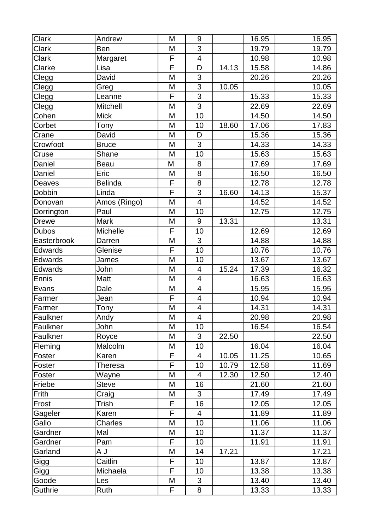| Clark          | Andrew         | Μ | 9              |       | 16.95 | 16.95 |
|----------------|----------------|---|----------------|-------|-------|-------|
| <b>Clark</b>   | Ben            | M | $\overline{3}$ |       | 19.79 | 19.79 |
| Clark          | Margaret       | F | $\overline{4}$ |       | 10.98 | 10.98 |
| Clarke         | Lisa           | F | D              | 14.13 | 15.58 | 14.86 |
| Clegg          | David          | M | 3              |       | 20.26 | 20.26 |
| Clegg          | Greg           | M | 3              | 10.05 |       | 10.05 |
| Clegg          | Leanne         | F | $\overline{3}$ |       | 15.33 | 15.33 |
| Clegg          | Mitchell       | M | $\overline{3}$ |       | 22.69 | 22.69 |
| Cohen          | <b>Mick</b>    | M | 10             |       | 14.50 | 14.50 |
| Corbet         | Tony           | M | 10             | 18.60 | 17.06 | 17.83 |
| Crane          | David          | M | D              |       | 15.36 | 15.36 |
| Crowfoot       | <b>Bruce</b>   | M | 3              |       | 14.33 | 14.33 |
| Cruse          | Shane          | M | 10             |       | 15.63 | 15.63 |
| Daniel         | <b>Beau</b>    | M | 8              |       | 17.69 | 17.69 |
| Daniel         | Eric           | M | 8              |       | 16.50 | 16.50 |
| Deaves         | <b>Belinda</b> | F | 8              |       | 12.78 | 12.78 |
| Dobbin         | Linda          | F | 3              | 16.60 | 14.13 | 15.37 |
| Donovan        | Amos (Ringo)   | M | $\overline{4}$ |       | 14.52 | 14.52 |
| Dorrington     | Paul           | M | 10             |       | 12.75 | 12.75 |
| <b>Drewe</b>   | <b>Mark</b>    | M | 9              | 13.31 |       | 13.31 |
| <b>Dubos</b>   | Michelle       | F | 10             |       | 12.69 | 12.69 |
| Easterbrook    | Darren         | M | 3              |       | 14.88 | 14.88 |
| <b>Edwards</b> | Glenise        | F | 10             |       | 10.76 | 10.76 |
| Edwards        | James          | M | 10             |       | 13.67 | 13.67 |
| <b>Edwards</b> | John           | M | $\overline{4}$ | 15.24 | 17.39 | 16.32 |
| <b>Ennis</b>   | Matt           | M | 4              |       | 16.63 | 16.63 |
| Evans          | Dale           | M | $\overline{4}$ |       | 15.95 | 15.95 |
| Farmer         | Jean           | F | $\overline{4}$ |       | 10.94 | 10.94 |
| Farmer         | <b>Tony</b>    | M | 4              |       | 14.31 | 14.31 |
| Faulkner       | Andy           | M | $\overline{4}$ |       | 20.98 | 20.98 |
| Faulkner       | John           | M | 10             |       | 16.54 | 16.54 |
| Faulkner       | Royce          | M | 3              | 22.50 |       | 22.50 |
| Fleming        | Malcolm        | M | 10             |       | 16.04 | 16.04 |
| Foster         | Karen          | F | 4              | 10.05 | 11.25 | 10.65 |
| Foster         | <b>Theresa</b> | F | 10             | 10.79 | 12.58 | 11.69 |
| Foster         | Wayne          | M | 4              | 12.30 | 12.50 | 12.40 |
| Friebe         | <b>Steve</b>   | Μ | 16             |       | 21.60 | 21.60 |
| Frith          | Craig          | M | 3              |       | 17.49 | 17.49 |
| Frost          | Trish          | F | 16             |       | 12.05 | 12.05 |
| Gageler        | Karen          | F | $\overline{4}$ |       | 11.89 | 11.89 |
| Gallo          | Charles        | M | 10             |       | 11.06 | 11.06 |
| Gardner        | Mal            | Μ | 10             |       | 11.37 | 11.37 |
| Gardner        | Pam            | F | 10             |       | 11.91 | 11.91 |
| Garland        | L A            | M | 14             | 17.21 |       | 17.21 |
| Gigg           | Caitlin        | F | 10             |       | 13.87 | 13.87 |
| Gigg           | Michaela       | F | 10             |       | 13.38 | 13.38 |
| Goode          | Les            | М | 3              |       | 13.40 | 13.40 |
| Guthrie        | Ruth           | F | 8              |       | 13.33 | 13.33 |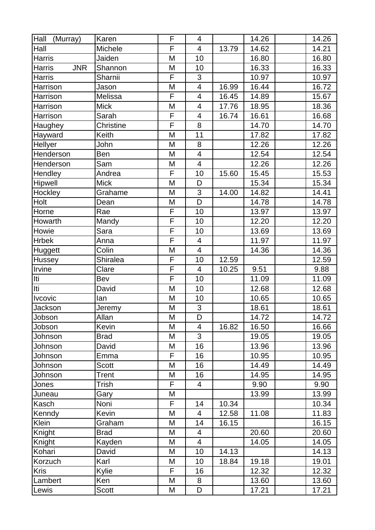| Hall<br>(Murray)            | Karen            | F              | 4                        |       | 14.26 | 14.26 |
|-----------------------------|------------------|----------------|--------------------------|-------|-------|-------|
| Hall                        | Michele          | F              | $\overline{4}$           | 13.79 | 14.62 | 14.21 |
| Harris                      | Jaiden           | M              | 10                       |       | 16.80 | 16.80 |
| <b>JNR</b><br><b>Harris</b> | Shannon          | M              | 10                       |       | 16.33 | 16.33 |
| Harris                      | Sharnii          | F              | 3                        |       | 10.97 | 10.97 |
| Harrison                    | Jason            | M              | $\overline{\mathbf{4}}$  | 16.99 | 16.44 | 16.72 |
| Harrison                    | Melissa          | F              | $\overline{4}$           | 16.45 | 14.89 | 15.67 |
| Harrison                    | <b>Mick</b>      | M              | 4                        | 17.76 | 18.95 | 18.36 |
| Harrison                    | Sarah            | $\overline{F}$ | $\overline{4}$           | 16.74 | 16.61 | 16.68 |
| Haughey                     | <b>Christine</b> | F              | 8                        |       | 14.70 | 14.70 |
| Hayward                     | Keith            | M              | 11                       |       | 17.82 | 17.82 |
| Hellyer                     | John             | M              | 8                        |       | 12.26 | 12.26 |
| Henderson                   | Ben              | M              | $\overline{4}$           |       | 12.54 | 12.54 |
| Henderson                   | Sam              | M              | $\overline{4}$           |       | 12.26 | 12.26 |
| Hendley                     | Andrea           | F              | 10                       | 15.60 | 15.45 | 15.53 |
| Hipwell                     | <b>Mick</b>      | M              | D                        |       | 15.34 | 15.34 |
| Hockley                     | Grahame          | M              | 3                        | 14.00 | 14.82 | 14.41 |
| Holt                        | Dean             | M              | D                        |       | 14.78 | 14.78 |
| Horne                       | Rae              | F              | 10                       |       | 13.97 | 13.97 |
| Howarth                     | Mandy            | F              | 10                       |       | 12.20 | 12.20 |
| Howie                       | Sara             | $\overline{F}$ | 10                       |       | 13.69 | 13.69 |
| <b>Hrbek</b>                | Anna             | F              | $\overline{\mathcal{A}}$ |       | 11.97 | 11.97 |
| Huggett                     | Colin            | M              | $\overline{4}$           |       | 14.36 | 14.36 |
| Hussey                      | Shiralea         | F              | 10                       | 12.59 |       | 12.59 |
| Irvine                      | Clare            | F              | $\overline{4}$           | 10.25 | 9.51  | 9.88  |
| Iti                         | Bev              | F              | 10                       |       | 11.09 | 11.09 |
| Iti                         | David            | M              | 10                       |       | 12.68 | 12.68 |
| <b>Ivcovic</b>              | lan              | M              | 10                       |       | 10.65 | 10.65 |
| Jackson                     | Jeremy           | M              | 3                        |       | 18.61 | 18.61 |
| Jobson                      | Allan            | M              | $\overline{D}$           |       | 14.72 | 14.72 |
| Jobson                      | Kevin            | M              | $\overline{4}$           | 16.82 | 16.50 | 16.66 |
| Johnson                     | <b>Brad</b>      | M              | 3                        |       | 19.05 | 19.05 |
| Johnson                     | David            | M              | 16                       |       | 13.96 | 13.96 |
| Johnson                     | Emma             | F              | 16                       |       | 10.95 | 10.95 |
| Johnson                     | <b>Scott</b>     | M              | 16                       |       | 14.49 | 14.49 |
| Johnson                     | Trent            | M              | 16                       |       | 14.95 | 14.95 |
| Jones                       | Trish            | F              | $\overline{4}$           |       | 9.90  | 9.90  |
| Juneau                      | Gary             | M              |                          |       | 13.99 | 13.99 |
| Kasch                       | Noni             | F              | 14                       | 10.34 |       | 10.34 |
| Kenndy                      | Kevin            | M              | $\overline{4}$           | 12.58 | 11.08 | 11.83 |
| Klein                       | Graham           | M              | 14                       | 16.15 |       | 16.15 |
| Knight                      | <b>Brad</b>      | M              | 4                        |       | 20.60 | 20.60 |
| Knight                      | Kayden           | M              | $\overline{4}$           |       | 14.05 | 14.05 |
| Kohari                      | David            | M              | 10                       | 14.13 |       | 14.13 |
| Korzuch                     | Karl             | M              | 10                       | 18.84 | 19.18 | 19.01 |
| <b>Kris</b>                 | Kylie            | F              | 16                       |       | 12.32 | 12.32 |
| Lambert                     | Ken              | M              | 8                        |       | 13.60 | 13.60 |
| Lewis                       | <b>Scott</b>     | M              | D                        |       | 17.21 | 17.21 |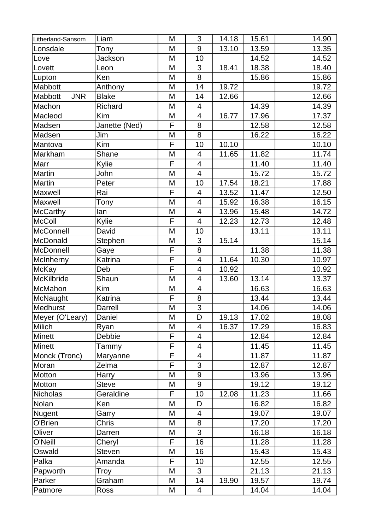| Litherland-Sansom     | Liam          | M | 3                       | 14.18 | 15.61 | 14.90               |
|-----------------------|---------------|---|-------------------------|-------|-------|---------------------|
| Lonsdale              | Tony          | M | 9                       | 13.10 | 13.59 | 13.35               |
| Love                  | Jackson       | M | 10                      |       | 14.52 | 14.52               |
| Lovett                | Leon          | M | 3                       | 18.41 | 18.38 | 18.40               |
| Lupton                | Ken           | M | 8                       |       | 15.86 | 15.86               |
| Mabbott               | Anthony       | M | 14                      | 19.72 |       | 19.72               |
| Mabbott<br><b>JNR</b> | <b>Blake</b>  | M | 14                      | 12.66 |       | 12.66               |
| Machon                | Richard       | M | 4                       |       | 14.39 | 14.39               |
| Macleod               | Kim           | M | 4                       | 16.77 | 17.96 | 17.37               |
| Madsen                | Janette (Ned) | F | 8                       |       | 12.58 | 12.58               |
| Madsen                | Jim           | M | 8                       |       | 16.22 | 16.22               |
| Mantova               | Kim           | F | 10                      | 10.10 |       | 10.10               |
| Markham               | Shane         | M | $\overline{4}$          | 11.65 | 11.82 | 11.74               |
| Marr                  | Kylie         | F | 4                       |       | 11.40 | 11.40               |
| Martin                | John          | M | $\overline{\mathbf{4}}$ |       | 15.72 | 15.72               |
| <b>Martin</b>         | Peter         | M | 10                      | 17.54 | 18.21 | 17.88               |
| Maxwell               | Rai           | F | 4                       | 13.52 | 11.47 | 12.50               |
| Maxwell               | Tony          | M | $\overline{4}$          | 15.92 | 16.38 | 16.15               |
| <b>McCarthy</b>       | lan           | M | $\overline{\mathbf{4}}$ | 13.96 | 15.48 | 14.72               |
| <b>McColl</b>         | Kylie         | F | $\overline{4}$          | 12.23 | 12.73 | $\overline{1}$ 2.48 |
| McConnell             | David         | M | 10                      |       | 13.11 | 13.11               |
| McDonald              | Stephen       | M | 3                       | 15.14 |       | 15.14               |
| McDonnell             | Gaye          | F | 8                       |       | 11.38 | 11.38               |
| McInherny             | Katrina       | F | $\overline{4}$          | 11.64 | 10.30 | 10.97               |
| <b>McKay</b>          | Deb           | F | 4                       | 10.92 |       | 10.92               |
| McKilbride            | Shaun         | M | 4                       | 13.60 | 13.14 | 13.37               |
| McMahon               | Kim           | M | 4                       |       | 16.63 | 16.63               |
| McNaught              | Katrina       | F | 8                       |       | 13.44 | 13.44               |
| Medhurst              | Darrell       | M | 3                       |       | 14.06 | 14.06               |
| Meyer (O'Leary)       | Daniel        | M | $\overline{\mathsf{D}}$ | 19.13 | 17.02 | 18.08               |
| <b>Milich</b>         | Ryan          | M | 4                       | 16.37 | 17.29 | 16.83               |
| <b>Minett</b>         | Debbie        | F | 4                       |       | 12.84 | 12.84               |
| <b>Minett</b>         | Tammy         | F | 4                       |       | 11.45 | 11.45               |
| Monck (Tronc)         | Maryanne      | F | 4                       |       | 11.87 | 11.87               |
| Moran                 | Zelma         | F | 3                       |       | 12.87 | 12.87               |
| Motton                | Harry         | M | 9                       |       | 13.96 | 13.96               |
| Motton                | <b>Steve</b>  | M | 9                       |       | 19.12 | 19.12               |
| <b>Nicholas</b>       | Geraldine     | F | 10                      | 12.08 | 11.23 | 11.66               |
| Nolan                 | Ken           | M | D                       |       | 16.82 | 16.82               |
| Nugent                | Garry         | M | 4                       |       | 19.07 | 19.07               |
| O'Brien               | Chris         | M | 8                       |       | 17.20 | 17.20               |
| Oliver                | Darren        | M | $\overline{3}$          |       | 16.18 | 16.18               |
| O'Neill               | Cheryl        | F | 16                      |       | 11.28 | 11.28               |
| Oswald                | <b>Steven</b> | M | 16                      |       | 15.43 | 15.43               |
| Palka                 | Amanda        | F | 10                      |       | 12.55 | 12.55               |
| Papworth              | Troy          | M | 3                       |       | 21.13 | 21.13               |
| Parker                | Graham        | M | 14                      | 19.90 | 19.57 | 19.74               |
| Patmore               | Ross          | M | $\overline{4}$          |       | 14.04 | 14.04               |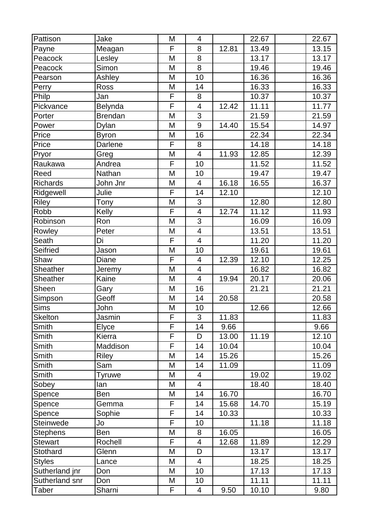| Pattison        | Jake           | M | $\overline{4}$           |       | 22.67 | 22.67 |
|-----------------|----------------|---|--------------------------|-------|-------|-------|
| Payne           | Meagan         | F | 8                        | 12.81 | 13.49 | 13.15 |
| Peacock         | Lesley         | M | 8                        |       | 13.17 | 13.17 |
| Peacock         | Simon          | M | 8                        |       | 19.46 | 19.46 |
| Pearson         | Ashley         | M | 10                       |       | 16.36 | 16.36 |
| Perry           | <b>Ross</b>    | M | 14                       |       | 16.33 | 16.33 |
| Philp           | Jan            | F | 8                        |       | 10.37 | 10.37 |
| Pickvance       | Belynda        | F | $\overline{\mathcal{A}}$ | 12.42 | 11.11 | 11.77 |
| Porter          | <b>Brendan</b> | M | 3                        |       | 21.59 | 21.59 |
| Power           | <b>Dylan</b>   | M | 9                        | 14.40 | 15.54 | 14.97 |
| Price           | <b>Byron</b>   | M | 16                       |       | 22.34 | 22.34 |
| Price           | Darlene        | F | 8                        |       | 14.18 | 14.18 |
| Pryor           | Greg           | M | $\overline{4}$           | 11.93 | 12.85 | 12.39 |
| Raukawa         | Andrea         | F | 10                       |       | 11.52 | 11.52 |
| Reed            | Nathan         | M | 10                       |       | 19.47 | 19.47 |
| Richards        | John Jnr       | M | $\overline{4}$           | 16.18 | 16.55 | 16.37 |
| Ridgewell       | Julie          | F | 14                       | 12.10 |       | 12.10 |
| Riley           | Tony           | M | 3                        |       | 12.80 | 12.80 |
| Robb            | Kelly          | F | $\overline{4}$           | 12.74 | 11.12 | 11.93 |
| Robinson        | Ron            | M | $\overline{3}$           |       | 16.09 | 16.09 |
| Rowley          | Peter          | M | $\overline{\mathcal{A}}$ |       | 13.51 | 13.51 |
| Seath           | Di             | F | $\overline{4}$           |       | 11.20 | 11.20 |
| Seifried        | Jason          | M | 10                       |       | 19.61 | 19.61 |
| Shaw            | Diane          | F | $\overline{\mathcal{A}}$ | 12.39 | 12.10 | 12.25 |
| Sheather        | Jeremy         | M | $\overline{\mathcal{A}}$ |       | 16.82 | 16.82 |
| Sheather        | Kaine          | M | $\overline{\mathbf{4}}$  | 19.94 | 20.17 | 20.06 |
| Sheen           | Gary           | M | 16                       |       | 21.21 | 21.21 |
| Simpson         | Geoff          | M | 14                       | 20.58 |       | 20.58 |
| Sims            | John           | M | 10                       |       | 12.66 | 12.66 |
| Skelton         | Jasmin         | F | $\overline{3}$           | 11.83 |       | 11.83 |
| Smith           | Elyce          | F | 14                       | 9.66  |       | 9.66  |
| Smith           | Kierra         | F | D                        | 13.00 | 11.19 | 12.10 |
| Smith           | Maddison       | F | 14                       | 10.04 |       | 10.04 |
| Smith           | <b>Riley</b>   | M | 14                       | 15.26 |       | 15.26 |
| Smith           | Sam            | M | 14                       | 11.09 |       | 11.09 |
| Smith           | Tyruwe         | Μ | 4                        |       | 19.02 | 19.02 |
| Sobey           | lan            | M | $\overline{\mathcal{A}}$ |       | 18.40 | 18.40 |
| Spence          | <b>Ben</b>     | M | 14                       | 16.70 |       | 16.70 |
| Spence          | Gemma          | F | 14                       | 15.68 | 14.70 | 15.19 |
| Spence          | Sophie         | F | 14                       | 10.33 |       | 10.33 |
| Steinwede       | Jo             | F | 10                       |       | 11.18 | 11.18 |
| <b>Stephens</b> | <b>Ben</b>     | M | 8                        | 16.05 |       | 16.05 |
| <b>Stewart</b>  | Rochell        | F | $\overline{\mathcal{A}}$ | 12.68 | 11.89 | 12.29 |
| Stothard        | Glenn          | M | D                        |       | 13.17 | 13.17 |
| <b>Styles</b>   | Lance          | M | 4                        |       | 18.25 | 18.25 |
| Sutherland jnr  | Don            | M | 10                       |       | 17.13 | 17.13 |
| Sutherland snr  | Don            | М | 10                       |       | 11.11 | 11.11 |
| Taber           | Sharni         | F | $\overline{4}$           | 9.50  | 10.10 | 9.80  |